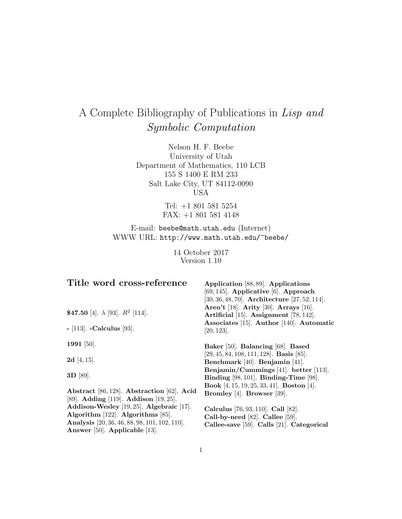# A Complete Bibliography of Publications in Lisp and Symbolic Computation

Nelson H. F. Beebe University of Utah Department of Mathematics, 110 LCB 155 S 1400 E RM 233 Salt Lake City, UT 84112-0090 USA

> Tel: +1 801 581 5254 FAX: +1 801 581 4148

E-mail: beebe@math.utah.edu (Internet) WWW URL: http://www.math.utah.edu/~beebe/

> 14 October 2017 Version 1.10

| Title word cross-reference                                                          | Application [88, 89]. Applications                                                    |
|-------------------------------------------------------------------------------------|---------------------------------------------------------------------------------------|
|                                                                                     | $[69, 145]$ . Applicative $[6]$ . Approach                                            |
|                                                                                     | $[30, 36, 48, 70]$ . Architecture $[27, 52, 114]$ .                                   |
| \$47.50 [4]. $\lambda$ [93]. $R^2$ [114].                                           | <b>Aren't</b> [18]. <b>Arity</b> [30]. <b>Arrays</b> [16].                            |
|                                                                                     | Artificial [15]. Assignment [78, 142].                                                |
| $-$ [113]. -Calculus [93].                                                          | Associates [15]. Author [140]. Automatic<br>[20, 123].                                |
| 1991 [50].                                                                          | Baker [50]. Balancing [68]. Based                                                     |
| 2d [4, 15].                                                                         | $[29, 45, 84, 108, 111, 128]$ . Basis [85].<br>Benchmark [40]. Benjamin [41].         |
| 3D [89].                                                                            | Benjamin/Cummings [41]. better [113].<br>Binding $[98, 101]$ . Binding-Time $[98]$ .  |
| Abstract [86, 128]. Abstraction [62]. Acid<br>[89]. Adding [119]. Addison [19, 25]. | <b>Book</b> [4, 15, 19, 25, 33, 41]. <b>Boston</b> [4].<br>Bromley [4]. Browser [39]. |
| Addison-Wesley [19, 25]. Algebraic [17].                                            | Calculus [76, 93, 110]. Call [82].                                                    |
| Algorithm [122]. Algorithms [85].                                                   | Call-by-need [82]. Callee [59].                                                       |
| Analysis [20, 36, 46, 88, 98, 101, 102, 110].                                       | Callee-save [59]. Calls [21]. Categorical                                             |
| Answer [50]. Applicable [13].                                                       |                                                                                       |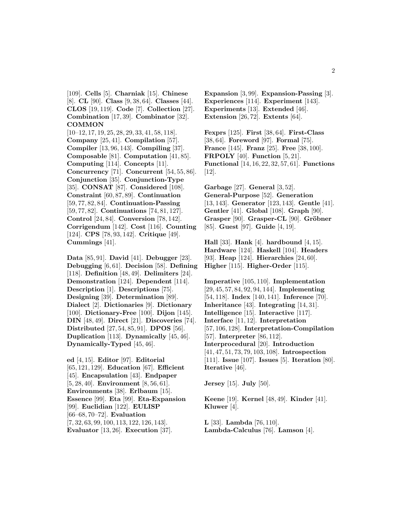[109]. **Cells** [5]. **Charniak** [15]. **Chinese** [8]. **CL** [90]. **Class** [9, 38, 64]. **Classes** [44]. **CLOS** [19, 119]. **Code** [7]. **Collection** [27]. **Combination** [17, 39]. **Combinator** [32]. **COMMON**

[10–12, 17, 19, 25, 28, 29, 33, 41, 58, 118]. **Company** [25, 41]. **Compilation** [57]. **Compiler** [13, 96, 143]. **Compiling** [37]. **Composable** [81]. **Computation** [41, 85]. **Computing** [114]. **Concepts** [11]. **Concurrency** [71]. **Concurrent** [54, 55, 86]. **Conjunction** [35]. **Conjunction-Type** [35]. **CONSAT** [87]. **Considered** [108]. **Constraint** [60, 87, 89]. **Continuation** [59, 77, 82, 84]. **Continuation-Passing** [59, 77, 82]. **Continuations** [74, 81, 127]. **Control** [24, 84]. **Conversion** [78, 142]. **Corrigendum** [142]. **Cost** [116]. **Counting** [124]. **CPS** [78, 93, 142]. **Critique** [49]. **Cummings** [41].

**Data** [85, 91]. **David** [41]. **Debugger** [23]. **Debugging** [6, 61]. **Decision** [58]. **Defining** [118]. **Definition** [48, 49]. **Delimiters** [24]. **Demonstration** [124]. **Dependent** [114]. **Description** [1]. **Descriptions** [75]. **Designing** [39]. **Determination** [89]. **Dialect** [2]. **Dictionaries** [9]. **Dictionary** [100]. **Dictionary-Free** [100]. **Dijon** [145]. **DIN** [48, 49]. **Direct** [21]. **Discoveries** [74]. **Distributed** [27, 54, 85, 91]. **DPOS** [56]. **Duplication** [113]. **Dynamically** [45, 46]. **Dynamically-Typed** [45, 46].

**ed** [4, 15]. **Editor** [97]. **Editorial** [65, 121, 129]. **Education** [67]. **Efficient** [45]. **Encapsulation** [43]. **Endpaper** [5, 28, 40]. **Environment** [8, 56, 61]. **Environments** [38]. **Erlbaum** [15]. **Essence** [99]. **Eta** [99]. **Eta-Expansion** [99]. **Euclidian** [122]. **EULISP** [66–68, 70–72]. **Evaluation** [7, 32, 63, 99, 100, 113, 122, 126, 143]. **Evaluator** [13, 26]. **Execution** [37].

**Expansion** [3, 99]. **Expansion-Passing** [3]. **Experiences** [114]. **Experiment** [143]. **Experiments** [13]. **Extended** [46]. **Extension** [26, 72]. **Extents** [64].

**Fexprs** [125]. **First** [38, 64]. **First-Class** [38, 64]. **Foreword** [97]. **Formal** [75]. **France** [145]. **Franz** [25]. **Free** [38, 100]. **FRPOLY** [40]. **Function** [5, 21]. **Functional** [14, 16, 22, 32, 57, 61]. **Functions** [12].

**Garbage** [27]. **General** [3, 52]. **General-Purpose** [52]. **Generation** [13, 143]. **Generator** [123, 143]. **Gentle** [41]. **Gentler** [41]. **Global** [108]. **Graph** [90]. **Grasper** [90]. **Grasper-CL** [90]. **Gröbner** [85]. **Guest** [97]. **Guide** [4, 19].

**Hall** [33]. **Hank** [4]. **hardbound** [4, 15]. **Hardware** [124]. **Haskell** [104]. **Headers** [93]. **Heap** [124]. **Hierarchies** [24, 60]. **Higher** [115]. **Higher-Order** [115].

**Imperative** [105, 110]. **Implementation** [29, 45, 57, 84, 92, 94, 144]. **Implementing** [54, 118]. **Index** [140, 141]. **Inference** [70]. **Inheritance** [43]. **Integrating** [14, 31]. **Intelligence** [15]. **Interactive** [117]. **Interface** [11, 12]. **Interpretation** [57, 106, 128]. **Interpretation-Compilation** [57]. **Interpreter** [86, 112]. **Interprocedural** [20]. **Introduction** [41, 47, 51, 73, 79, 103, 108]. **Introspection** [111]. **Issue** [107]. **Issues** [5]. **Iteration** [80]. **Iterative** [46].

**Jersey** [15]. **July** [50].

**Keene** [19]. **Kernel** [48, 49]. **Kinder** [41]. **Kluwer** [4].

**L** [33]. **Lambda** [76, 110]. **Lambda-Calculus** [76]. **Lamson** [4].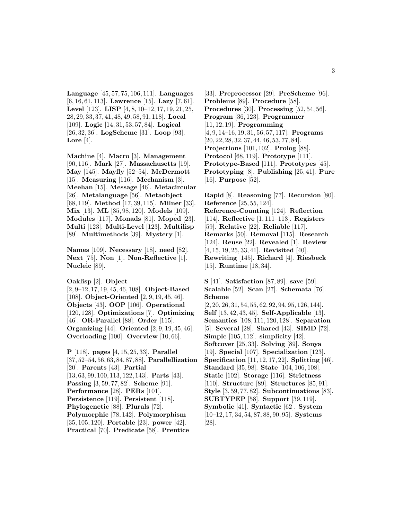**Language** [45, 57, 75, 106, 111]. **Languages** [6, 16, 61, 113]. **Lawrence** [15]. **Lazy** [7, 61]. **Level** [123]. **LISP** [4, 8, 10–12, 17, 19, 21, 25, 28, 29, 33, 37, 41, 48, 49, 58, 91, 118]. **Local** [109]. **Logic** [14, 31, 53, 57, 84]. **Logical** [26, 32, 36]. **LogScheme** [31]. **Loop** [93]. **Lore** [4].

**Machine** [4]. **Macro** [3]. **Management** [90, 116]. **Mark** [27]. **Massachusetts** [19]. **May** [145]. **Mayfly** [52–54]. **McDermott** [15]. **Measuring** [116]. **Mechanism** [3]. **Meehan** [15]. **Message** [46]. **Metacircular** [26]. **Metalanguage** [56]. **Metaobject** [68, 119]. **Method** [17, 39, 115]. **Milner** [33]. **Mix** [13]. **ML** [35, 98, 120]. **Models** [109]. **Modules** [117]. **Monads** [81]. **Moped** [23]. **Multi** [123]. **Multi-Level** [123]. **Multilisp** [89]. **Multimethods** [39]. **Mystery** [1].

**Names** [109]. **Necessary** [18]. **need** [82]. **Next** [75]. **Non** [1]. **Non-Reflective** [1]. **Nucleic** [89].

**Oaklisp** [2]. **Object**

[2, 9–12, 17, 19, 45, 46, 108]. **Object-Based** [108]. **Object-Oriented** [2, 9, 19, 45, 46]. **Objects** [43]. **OOP** [106]. **Operational** [120, 128]. **Optimizations** [7]. **Optimizing** [46]. **OR-Parallel** [88]. **Order** [115]. **Organizing** [44]. **Oriented** [2, 9, 19, 45, 46]. **Overloading** [100]. **Overview** [10, 66].

**P** [118]. **pages** [4, 15, 25, 33]. **Parallel** [37, 52–54, 56, 63, 84, 87, 88]. **Parallellization** [20]. **Parents** [43]. **Partial** [13, 63, 99, 100, 113, 122, 143]. **Parts** [43]. **Passing** [3, 59, 77, 82]. **Scheme** [91]. **Performance** [28]. **PERs** [101]. **Persistence** [119]. **Persistent** [118]. **Phylogenetic** [88]. **Plurals** [72]. **Polymorphic** [78, 142]. **Polymorphism** [35, 105, 120]. **Portable** [23]. **power** [42]. **Practical** [70]. **Predicate** [58]. **Prentice**

[33]. **Preprocessor** [29]. **PreScheme** [96]. **Problems** [89]. **Procedure** [58]. **Procedures** [30]. **Processing** [52, 54, 56]. **Program** [36, 123]. **Programmer** [11, 12, 19]. **Programming** [4, 9, 14–16, 19, 31, 56, 57, 117]. **Programs** [20, 22, 28, 32, 37, 44, 46, 53, 77, 84]. **Projections** [101, 102]. **Prolog** [88]. **Protocol** [68, 119]. **Prototype** [111]. **Prototype-Based** [111]. **Prototypes** [45]. **Prototyping** [8]. **Publishing** [25, 41]. **Pure** [16]. **Purpose** [52].

**Rapid** [8]. **Reasoning** [77]. **Recursion** [80]. **Reference** [25, 55, 124]. **Reference-Counting** [124]. **Reflection** [114]. **Reflective** [1, 111–113]. **Registers** [59]. **Relative** [22]. **Reliable** [117]. **Remarks** [50]. **Removal** [115]. **Research** [124]. **Reuse** [22]. **Revealed** [1]. **Review** [4, 15, 19, 25, 33, 41]. **Revisited** [40]. **Rewriting** [145]. **Richard** [4]. **Riesbeck** [15]. **Runtime** [18, 34].

**S** [41]. **Satisfaction** [87, 89]. **save** [59]. **Scalable** [52]. **Scan** [27]. **Schemata** [76]. **Scheme** [2, 20, 26, 31, 54, 55, 62, 92, 94, 95, 126, 144]. **Self** [13, 42, 43, 45]. **Self-Applicable** [13]. **Semantics** [108, 111, 120, 128]. **Separation** [5]. **Several** [28]. **Shared** [43]. **SIMD** [72]. **Simple** [105, 112]. **simplicity** [42]. **Softcover** [25, 33]. **Solving** [89]. **Sonya** [19]. **Special** [107]. **Specialization** [123]. **Specification** [11, 12, 17, 22]. **Splitting** [46]. **Standard** [35, 98]. **State** [104, 106, 108]. **Static** [102]. **Storage** [116]. **Strictness** [110]. **Structure** [89]. **Structures** [85, 91]. **Style** [3, 59, 77, 82]. **Subcontinuations** [83]. **SUBTYPEP** [58]. **Support** [39, 119]. **Symbolic** [41]. **Syntactic** [62]. **System** [10–12, 17, 34, 54, 87, 88, 90, 95]. **Systems** [28].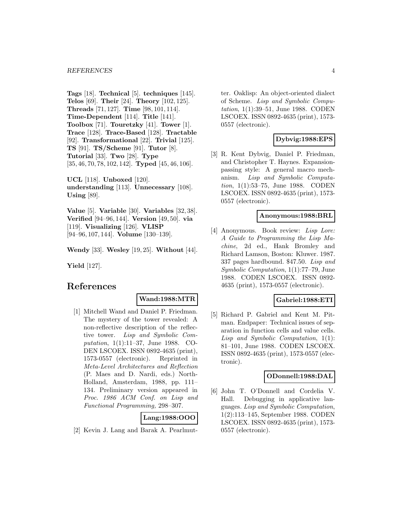**Tags** [18]. **Technical** [5]. **techniques** [145]. **Telos** [69]. **Their** [24]. **Theory** [102, 125]. **Threads** [71, 127]. **Time** [98, 101, 114]. **Time-Dependent** [114]. **Title** [141]. **Toolbox** [71]. **Touretzky** [41]. **Tower** [1]. **Trace** [128]. **Trace-Based** [128]. **Tractable** [92]. **Transformational** [22]. **Trivial** [125]. **TS** [91]. **TS/Scheme** [91]. **Tutor** [8]. **Tutorial** [33]. **Two** [28]. **Type** [35, 46, 70, 78, 102, 142]. **Typed** [45, 46, 106].

**UCL** [118]. **Unboxed** [120]. **understanding** [113]. **Unnecessary** [108]. **Using** [89].

**Value** [5]. **Variable** [30]. **Variables** [32, 38]. **Verified** [94–96, 144]. **Version** [49, 50]. **via** [119]. **Visualizing** [126]. **VLISP** [94–96, 107, 144]. **Volume** [130–139].

**Wendy** [33]. **Wesley** [19, 25]. **Without** [44].

**Yield** [127].

## **References**

#### **Wand:1988:MTR**

[1] Mitchell Wand and Daniel P. Friedman. The mystery of the tower revealed: A non-reflective description of the reflective tower. Lisp and Symbolic Computation, 1(1):11–37, June 1988. CO-DEN LSCOEX. ISSN 0892-4635 (print), 1573-0557 (electronic). Reprinted in Meta-Level Architectures and Reflection (P. Maes and D. Nardi, eds.) North-Holland, Amsterdam, 1988, pp. 111– 134. Preliminary version appeared in Proc. 1986 ACM Conf. on Lisp and Functional Programming, 298–307.

## **Lang:1988:OOO**

[2] Kevin J. Lang and Barak A. Pearlmut-

ter. Oaklisp: An object-oriented dialect of Scheme. Lisp and Symbolic Computation, 1(1):39–51, June 1988. CODEN LSCOEX. ISSN 0892-4635 (print), 1573- 0557 (electronic).

# **Dybvig:1988:EPS**

[3] R. Kent Dybvig, Daniel P. Friedman, and Christopher T. Haynes. Expansionpassing style: A general macro mechanism. Lisp and Symbolic Computation, 1(1):53–75, June 1988. CODEN LSCOEX. ISSN 0892-4635 (print), 1573- 0557 (electronic).

#### **Anonymous:1988:BRL**

[4] Anonymous. Book review: Lisp Lore: A Guide to Programming the Lisp Machine, 2d ed., Hank Bromley and Richard Lamson, Boston: Kluwer. 1987. 337 pages hardbound. \$47.50. Lisp and Symbolic Computation, 1(1):77–79, June 1988. CODEN LSCOEX. ISSN 0892- 4635 (print), 1573-0557 (electronic).

#### **Gabriel:1988:ETI**

[5] Richard P. Gabriel and Kent M. Pitman. Endpaper: Technical issues of separation in function cells and value cells. Lisp and Symbolic Computation, 1(1): 81–101, June 1988. CODEN LSCOEX. ISSN 0892-4635 (print), 1573-0557 (electronic).

#### **ODonnell:1988:DAL**

[6] John T. O'Donnell and Cordelia V. Hall. Debugging in applicative languages. Lisp and Symbolic Computation, 1(2):113–145, September 1988. CODEN LSCOEX. ISSN 0892-4635 (print), 1573- 0557 (electronic).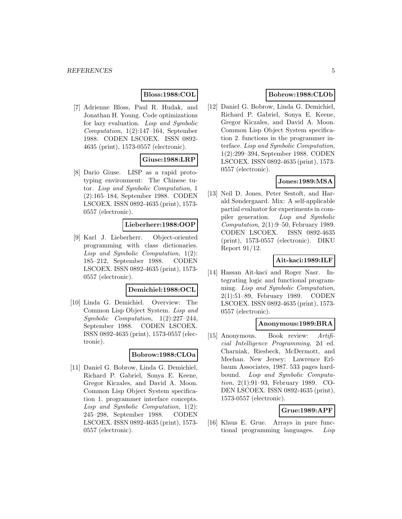## **Bloss:1988:COL**

[7] Adrienne Bloss, Paul R. Hudak, and Jonathan H. Young. Code optimizations for lazy evaluation. Lisp and Symbolic Computation, 1(2):147–164, September 1988. CODEN LSCOEX. ISSN 0892- 4635 (print), 1573-0557 (electronic).

## **Giuse:1988:LRP**

[8] Dario Giuse. LISP as a rapid prototyping environment: The Chinese tutor. Lisp and Symbolic Computation, 1 (2):165–184, September 1988. CODEN LSCOEX. ISSN 0892-4635 (print), 1573- 0557 (electronic).

## **Lieberherr:1988:OOP**

[9] Karl J. Lieberherr. Object-oriented programming with class dictionaries. Lisp and Symbolic Computation, 1(2): 185–212, September 1988. CODEN LSCOEX. ISSN 0892-4635 (print), 1573- 0557 (electronic).

#### **Demichiel:1988:OCL**

[10] Linda G. Demichiel. Overview: The Common Lisp Object System. Lisp and Symbolic Computation, 1(2):227–244, September 1988. CODEN LSCOEX. ISSN 0892-4635 (print), 1573-0557 (electronic).

## **Bobrow:1988:CLOa**

[11] Daniel G. Bobrow, Linda G. Demichiel, Richard P. Gabriel, Sonya E. Keene, Gregor Kiczales, and David A. Moon. Common Lisp Object System specification 1. programmer interface concepts. Lisp and Symbolic Computation, 1(2): 245–298, September 1988. CODEN LSCOEX. ISSN 0892-4635 (print), 1573- 0557 (electronic).

## **Bobrow:1988:CLOb**

[12] Daniel G. Bobrow, Linda G. Demichiel, Richard P. Gabriel, Sonya E. Keene, Gregor Kiczales, and David A. Moon. Common Lisp Object System specification 2. functions in the programmer interface. Lisp and Symbolic Computation, 1(2):299–394, September 1988. CODEN LSCOEX. ISSN 0892-4635 (print), 1573- 0557 (electronic).

## **Jones:1989:MSA**

[13] Neil D. Jones, Peter Sestoft, and Harald Søndergaard. Mix: A self-applicable partial evaluator for experiments in compiler generation. Lisp and Symbolic Computation, 2(1):9–50, February 1989. CODEN LSCOEX. ISSN 0892-4635 (print), 1573-0557 (electronic). DIKU Report 91/12.

# **Ait-kaci:1989:ILF**

[14] Hassan Ait-kaci and Roger Nasr. Integrating logic and functional programming. Lisp and Symbolic Computation, 2(1):51–89, February 1989. CODEN LSCOEX. ISSN 0892-4635 (print), 1573- 0557 (electronic).

#### **Anonymous:1989:BRA**

[15] Anonymous. Book review: Artificial Intelligence Programming, 2d ed. Charniak, Riesbeck, McDermott, and Meehan. New Jersey: Lawrence Erlbaum Associates, 1987. 533 pages hardbound. Lisp and Symbolic Computation, 2(1):91–93, February 1989. CO-DEN LSCOEX. ISSN 0892-4635 (print), 1573-0557 (electronic).

## **Grue:1989:APF**

[16] Klaus E. Grue. Arrays in pure functional programming languages. Lisp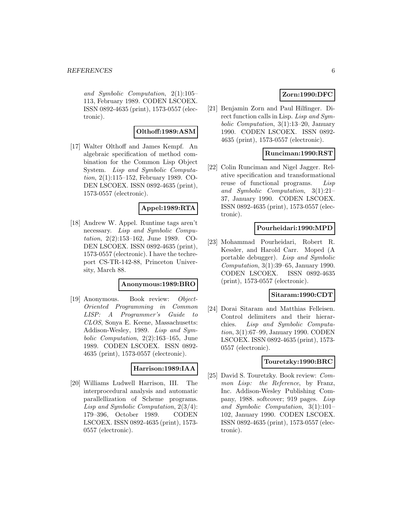and Symbolic Computation, 2(1):105– 113, February 1989. CODEN LSCOEX. ISSN 0892-4635 (print), 1573-0557 (electronic).

# **Olthoff:1989:ASM**

[17] Walter Olthoff and James Kempf. An algebraic specification of method combination for the Common Lisp Object System. Lisp and Symbolic Computation, 2(1):115–152, February 1989. CO-DEN LSCOEX. ISSN 0892-4635 (print), 1573-0557 (electronic).

## **Appel:1989:RTA**

[18] Andrew W. Appel. Runtime tags aren't necessary. Lisp and Symbolic Computation, 2(2):153–162, June 1989. CO-DEN LSCOEX. ISSN 0892-4635 (print), 1573-0557 (electronic). I have the techreport CS-TR-142-88, Princeton University, March 88.

#### **Anonymous:1989:BRO**

[19] Anonymous. Book review: Object-Oriented Programming in Common LISP: A Programmer's Guide to CLOS, Sonya E. Keene, Massachusetts: Addison-Wesley, 1989. Lisp and Symbolic Computation, 2(2):163–165, June 1989. CODEN LSCOEX. ISSN 0892- 4635 (print), 1573-0557 (electronic).

## **Harrison:1989:IAA**

[20] Williams Ludwell Harrison, III. The interprocedural analysis and automatic parallellization of Scheme programs. Lisp and Symbolic Computation, 2(3/4): 179–396, October 1989. CODEN LSCOEX. ISSN 0892-4635 (print), 1573- 0557 (electronic).

# **Zorn:1990:DFC**

[21] Benjamin Zorn and Paul Hilfinger. Direct function calls in Lisp. Lisp and Symbolic Computation, 3(1):13–20, January 1990. CODEN LSCOEX. ISSN 0892- 4635 (print), 1573-0557 (electronic).

## **Runciman:1990:RST**

[22] Colin Runciman and Nigel Jagger. Relative specification and transformational reuse of functional programs. Lisp and Symbolic Computation, 3(1):21– 37, January 1990. CODEN LSCOEX. ISSN 0892-4635 (print), 1573-0557 (electronic).

#### **Pourheidari:1990:MPD**

[23] Mohammad Pourheidari, Robert R. Kessler, and Harold Carr. Moped (A portable debugger). Lisp and Symbolic Computation, 3(1):39–65, January 1990. CODEN LSCOEX. ISSN 0892-4635 (print), 1573-0557 (electronic).

## **Sitaram:1990:CDT**

[24] Dorai Sitaram and Matthias Felleisen. Control delimiters and their hierarchies. Lisp and Symbolic Computation, 3(1):67–99, January 1990. CODEN LSCOEX. ISSN 0892-4635 (print), 1573- 0557 (electronic).

#### **Touretzky:1990:BRC**

[25] David S. Touretzky. Book review: Common Lisp: the Reference, by Franz, Inc. Addison-Wesley Publishing Company, 1988. softcover; 919 pages. Lisp and Symbolic Computation, 3(1):101– 102, January 1990. CODEN LSCOEX. ISSN 0892-4635 (print), 1573-0557 (electronic).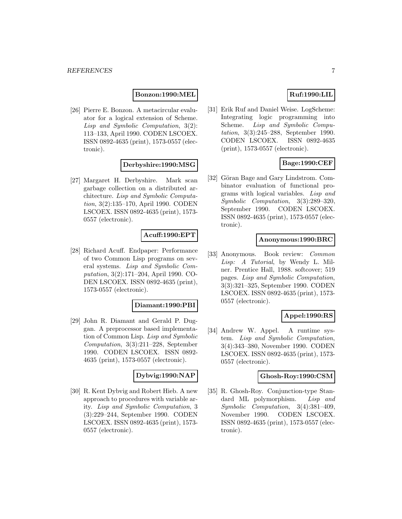#### **Bonzon:1990:MEL**

[26] Pierre E. Bonzon. A metacircular evaluator for a logical extension of Scheme. Lisp and Symbolic Computation, 3(2): 113–133, April 1990. CODEN LSCOEX. ISSN 0892-4635 (print), 1573-0557 (electronic).

#### **Derbyshire:1990:MSG**

[27] Margaret H. Derbyshire. Mark scan garbage collection on a distributed architecture. Lisp and Symbolic Computation, 3(2):135–170, April 1990. CODEN LSCOEX. ISSN 0892-4635 (print), 1573- 0557 (electronic).

## **Acuff:1990:EPT**

[28] Richard Acuff. Endpaper: Performance of two Common Lisp programs on several systems. Lisp and Symbolic Computation, 3(2):171–204, April 1990. CO-DEN LSCOEX. ISSN 0892-4635 (print), 1573-0557 (electronic).

#### **Diamant:1990:PBI**

[29] John R. Diamant and Gerald P. Duggan. A preprocessor based implementation of Common Lisp. Lisp and Symbolic Computation, 3(3):211–228, September 1990. CODEN LSCOEX. ISSN 0892- 4635 (print), 1573-0557 (electronic).

## **Dybvig:1990:NAP**

[30] R. Kent Dybvig and Robert Hieb. A new approach to procedures with variable arity. Lisp and Symbolic Computation, 3 (3):229–244, September 1990. CODEN LSCOEX. ISSN 0892-4635 (print), 1573- 0557 (electronic).

# **Ruf:1990:LIL**

[31] Erik Ruf and Daniel Weise. LogScheme: Integrating logic programming into Scheme. Lisp and Symbolic Computation, 3(3):245–288, September 1990. CODEN LSCOEX. ISSN 0892-4635 (print), 1573-0557 (electronic).

## **Bage:1990:CEF**

[32] Göran Bage and Gary Lindstrom. Combinator evaluation of functional programs with logical variables. Lisp and Symbolic Computation, 3(3):289–320, September 1990. CODEN LSCOEX. ISSN 0892-4635 (print), 1573-0557 (electronic).

## **Anonymous:1990:BRC**

[33] Anonymous. Book review: Common Lisp: A Tutorial, by Wendy L. Milner. Prentice Hall, 1988. softcover; 519 pages. Lisp and Symbolic Computation, 3(3):321–325, September 1990. CODEN LSCOEX. ISSN 0892-4635 (print), 1573- 0557 (electronic).

## **Appel:1990:RS**

[34] Andrew W. Appel. A runtime system. Lisp and Symbolic Computation, 3(4):343–380, November 1990. CODEN LSCOEX. ISSN 0892-4635 (print), 1573- 0557 (electronic).

#### **Ghosh-Roy:1990:CSM**

[35] R. Ghosh-Roy. Conjunction-type Standard ML polymorphism. Lisp and Symbolic Computation, 3(4):381–409, November 1990. CODEN LSCOEX. ISSN 0892-4635 (print), 1573-0557 (electronic).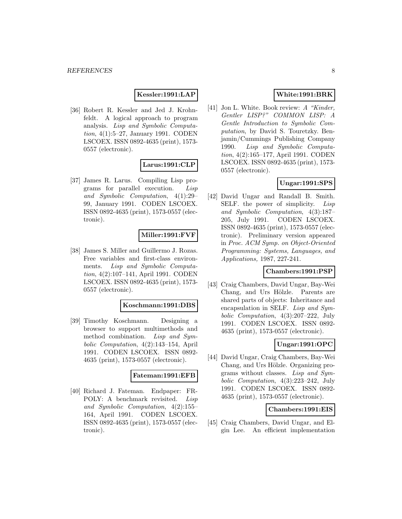## **Kessler:1991:LAP**

[36] Robert R. Kessler and Jed J. Krohnfeldt. A logical approach to program analysis. Lisp and Symbolic Computation, 4(1):5–27, January 1991. CODEN LSCOEX. ISSN 0892-4635 (print), 1573- 0557 (electronic).

#### **Larus:1991:CLP**

[37] James R. Larus. Compiling Lisp programs for parallel execution. Lisp and Symbolic Computation, 4(1):29– 99, January 1991. CODEN LSCOEX. ISSN 0892-4635 (print), 1573-0557 (electronic).

## **Miller:1991:FVF**

[38] James S. Miller and Guillermo J. Rozas. Free variables and first-class environments. Lisp and Symbolic Computation, 4(2):107–141, April 1991. CODEN LSCOEX. ISSN 0892-4635 (print), 1573- 0557 (electronic).

#### **Koschmann:1991:DBS**

[39] Timothy Koschmann. Designing a browser to support multimethods and method combination. Lisp and Symbolic Computation, 4(2):143–154, April 1991. CODEN LSCOEX. ISSN 0892- 4635 (print), 1573-0557 (electronic).

#### **Fateman:1991:EFB**

[40] Richard J. Fateman. Endpaper: FR-POLY: A benchmark revisited. Lisp and Symbolic Computation, 4(2):155– 164, April 1991. CODEN LSCOEX. ISSN 0892-4635 (print), 1573-0557 (electronic).

## **White:1991:BRK**

[41] Jon L. White. Book review: A "Kinder, Gentler LISP?" COMMON LISP: A Gentle Introduction to Symbolic Computation, by David S. Touretzky. Benjamin/Cummings Publishing Company 1990. Lisp and Symbolic Computation, 4(2):165–177, April 1991. CODEN LSCOEX. ISSN 0892-4635 (print), 1573- 0557 (electronic).

## **Ungar:1991:SPS**

[42] David Ungar and Randall B. Smith. SELF. the power of simplicity. Lisp and Symbolic Computation, 4(3):187– 205, July 1991. CODEN LSCOEX. ISSN 0892-4635 (print), 1573-0557 (electronic). Preliminary version appeared in Proc. ACM Symp. on Object-Oriented Programming: Systems, Languages, and Applications, 1987, 227-241.

#### **Chambers:1991:PSP**

[43] Craig Chambers, David Ungar, Bay-Wei Chang, and Urs Hölzle. Parents are shared parts of objects: Inheritance and encapsulation in SELF. Lisp and Symbolic Computation, 4(3):207–222, July 1991. CODEN LSCOEX. ISSN 0892- 4635 (print), 1573-0557 (electronic).

## **Ungar:1991:OPC**

[44] David Ungar, Craig Chambers, Bay-Wei Chang, and Urs Hölzle. Organizing programs without classes. Lisp and Symbolic Computation, 4(3):223–242, July 1991. CODEN LSCOEX. ISSN 0892- 4635 (print), 1573-0557 (electronic).

#### **Chambers:1991:EIS**

[45] Craig Chambers, David Ungar, and Elgin Lee. An efficient implementation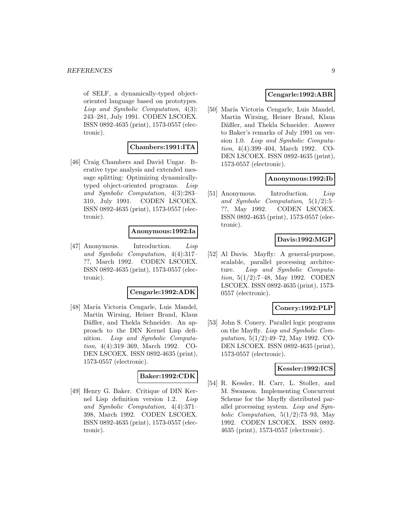of SELF, a dynamically-typed objectoriented language based on prototypes. Lisp and Symbolic Computation, 4(3): 243–281, July 1991. CODEN LSCOEX. ISSN 0892-4635 (print), 1573-0557 (electronic).

# **Chambers:1991:ITA**

[46] Craig Chambers and David Ungar. Iterative type analysis and extended message splitting: Optimizing dynamicallytyped object-oriented programs. Lisp and Symbolic Computation, 4(3):283– 310, July 1991. CODEN LSCOEX. ISSN 0892-4635 (print), 1573-0557 (electronic).

## **Anonymous:1992:Ia**

[47] Anonymous. Introduction. Lisp and Symbolic Computation, 4(4):317– ??, March 1992. CODEN LSCOEX. ISSN 0892-4635 (print), 1573-0557 (electronic).

## **Cengarle:1992:ADK**

[48] María Victoria Cengarle, Luis Mandel, Martin Wirsing, Heiner Brand, Klaus Däßler, and Thekla Schneider. An approach to the DIN Kernel Lisp definition. Lisp and Symbolic Computation, 4(4):319–369, March 1992. CO-DEN LSCOEX. ISSN 0892-4635 (print), 1573-0557 (electronic).

## **Baker:1992:CDK**

[49] Henry G. Baker. Critique of DIN Kernel Lisp definition version 1.2. Lisp and Symbolic Computation, 4(4):371– 398, March 1992. CODEN LSCOEX. ISSN 0892-4635 (print), 1573-0557 (electronic).

## **Cengarle:1992:ABR**

[50] María Victoria Cengarle, Luis Mandel, Martin Wirsing, Heiner Brand, Klaus Däßler, and Thekla Schneider. Answer to Baker's remarks of July 1991 on version 1.0. Lisp and Symbolic Computation, 4(4):399–404, March 1992. CO-DEN LSCOEX. ISSN 0892-4635 (print), 1573-0557 (electronic).

## **Anonymous:1992:Ib**

[51] Anonymous. Introduction. Lisp and Symbolic Computation, 5(1/2):5– ??, May 1992. CODEN LSCOEX. ISSN 0892-4635 (print), 1573-0557 (electronic).

# **Davis:1992:MGP**

[52] Al Davis. Mayfly: A general-purpose, scalable, parallel processing architecture. Lisp and Symbolic Computation, 5(1/2):7–48, May 1992. CODEN LSCOEX. ISSN 0892-4635 (print), 1573- 0557 (electronic).

#### **Conery:1992:PLP**

[53] John S. Conery. Parallel logic programs on the Mayfly. Lisp and Symbolic Computation, 5(1/2):49–72, May 1992. CO-DEN LSCOEX. ISSN 0892-4635 (print), 1573-0557 (electronic).

## **Kessler:1992:ICS**

[54] R. Kessler, H. Carr, L. Stoller, and M. Swanson. Implementing Concurrent Scheme for the Mayfly distributed parallel processing system. Lisp and Symbolic Computation,  $5(1/2)$ :73-93, May 1992. CODEN LSCOEX. ISSN 0892- 4635 (print), 1573-0557 (electronic).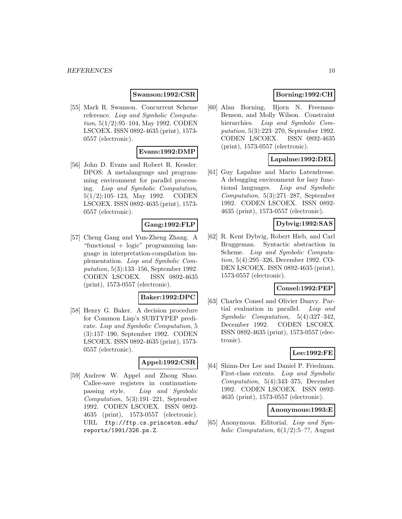#### **Swanson:1992:CSR**

[55] Mark R. Swanson. Concurrent Scheme reference. Lisp and Symbolic Computation, 5(1/2):95–104, May 1992. CODEN LSCOEX. ISSN 0892-4635 (print), 1573- 0557 (electronic).

## **Evans:1992:DMP**

[56] John D. Evans and Robert R. Kessler. DPOS: A metalanguage and programming environment for parallel processing. Lisp and Symbolic Computation, 5(1/2):105–123, May 1992. CODEN LSCOEX. ISSN 0892-4635 (print), 1573- 0557 (electronic).

## **Gang:1992:FLP**

[57] Cheng Gang and Yun-Zheng Zhang. A "functional + logic" programming language in interpretation-compilation implementation. Lisp and Symbolic Computation, 5(3):133–156, September 1992. CODEN LSCOEX. ISSN 0892-4635 (print), 1573-0557 (electronic).

## **Baker:1992:DPC**

[58] Henry G. Baker. A decision procedure for Common Lisp's SUBTYPEP predicate. Lisp and Symbolic Computation, 5 (3):157–190, September 1992. CODEN LSCOEX. ISSN 0892-4635 (print), 1573- 0557 (electronic).

## **Appel:1992:CSR**

[59] Andrew W. Appel and Zhong Shao. Callee-save registers in continuationpassing style. Lisp and Symbolic Computation, 5(3):191–221, September 1992. CODEN LSCOEX. ISSN 0892- 4635 (print), 1573-0557 (electronic). URL ftp://ftp.cs.princeton.edu/ reports/1991/326.ps.Z.

# **Borning:1992:CH**

[60] Alan Borning, Bjorn N. Freeman-Benson, and Molly Wilson. Constraint hierarchies. Lisp and Symbolic Computation, 5(3):223–270, September 1992. CODEN LSCOEX. ISSN 0892-4635 (print), 1573-0557 (electronic).

## **Lapalme:1992:DEL**

[61] Guy Lapalme and Mario Latendresse. A debugging environment for lazy functional languages. Lisp and Symbolic Computation, 5(3):271–287, September 1992. CODEN LSCOEX. ISSN 0892- 4635 (print), 1573-0557 (electronic).

## **Dybvig:1992:SAS**

[62] R. Kent Dybvig, Robert Hieb, and Carl Bruggeman. Syntactic abstraction in Scheme. Lisp and Symbolic Computation, 5(4):295–326, December 1992. CO-DEN LSCOEX. ISSN 0892-4635 (print), 1573-0557 (electronic).

#### **Consel:1992:PEP**

[63] Charles Consel and Olivier Danvy. Partial evaluation in parallel. Lisp and Symbolic Computation, 5(4):327–342, December 1992. CODEN LSCOEX. ISSN 0892-4635 (print), 1573-0557 (electronic).

#### **Lee:1992:FE**

[64] Shinn-Der Lee and Daniel P. Friedman. First-class extents. Lisp and Symbolic Computation, 5(4):343–375, December 1992. CODEN LSCOEX. ISSN 0892- 4635 (print), 1573-0557 (electronic).

#### **Anonymous:1993:E**

[65] Anonymous. Editorial. Lisp and Symbolic Computation,  $6(1/2)$ :5–??, August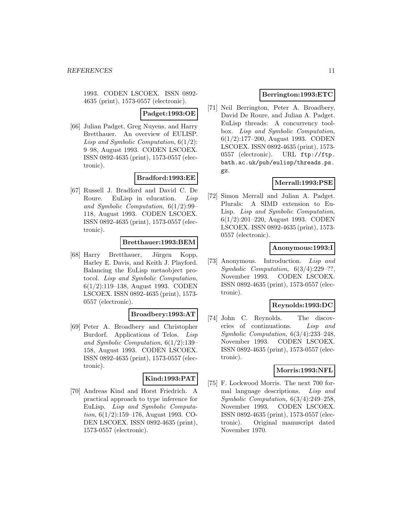1993. CODEN LSCOEX. ISSN 0892- 4635 (print), 1573-0557 (electronic).

**Padget:1993:OE**

[66] Julian Padget, Greg Nuyens, and Harry Bretthauer. An overview of EULISP. Lisp and Symbolic Computation,  $6(1/2)$ : 9–98, August 1993. CODEN LSCOEX. ISSN 0892-4635 (print), 1573-0557 (electronic).

## **Bradford:1993:EE**

[67] Russell J. Bradford and David C. De Roure. EuLisp in education. Lisp and Symbolic Computation, 6(1/2):99– 118, August 1993. CODEN LSCOEX. ISSN 0892-4635 (print), 1573-0557 (electronic).

## **Bretthauer:1993:BEM**

[68] Harry Bretthauer, Jürgen Kopp, Harley E. Davis, and Keith J. Playford. Balancing the EuLisp metaobject protocol. Lisp and Symbolic Computation, 6(1/2):119–138, August 1993. CODEN LSCOEX. ISSN 0892-4635 (print), 1573- 0557 (electronic).

# **Broadbery:1993:AT**

[69] Peter A. Broadbery and Christopher Burdorf. Applications of Telos. Lisp and Symbolic Computation, 6(1/2):139– 158, August 1993. CODEN LSCOEX. ISSN 0892-4635 (print), 1573-0557 (electronic).

# **Kind:1993:PAT**

[70] Andreas Kind and Horst Friedrich. A practical approach to type inference for EuLisp. Lisp and Symbolic Computation, 6(1/2):159–176, August 1993. CO-DEN LSCOEX. ISSN 0892-4635 (print), 1573-0557 (electronic).

## **Berrington:1993:ETC**

[71] Neil Berrington, Peter A. Broadbery, David De Roure, and Julian A. Padget. EuLisp threads: A concurrency toolbox. Lisp and Symbolic Computation, 6(1/2):177–200, August 1993. CODEN LSCOEX. ISSN 0892-4635 (print), 1573- 0557 (electronic). URL ftp://ftp. bath.ac.uk/pub/eulisp/threads.ps. gz.

# **Merrall:1993:PSE**

[72] Simon Merrall and Julian A. Padget. Plurals: A SIMD extension to Eu-Lisp. Lisp and Symbolic Computation, 6(1/2):201–220, August 1993. CODEN LSCOEX. ISSN 0892-4635 (print), 1573- 0557 (electronic).

## **Anonymous:1993:I**

[73] Anonymous. Introduction. Lisp and Symbolic Computation, 6(3/4):229–??, November 1993. CODEN LSCOEX. ISSN 0892-4635 (print), 1573-0557 (electronic).

## **Reynolds:1993:DC**

[74] John C. Reynolds. The discoveries of continuations. Lisp and Symbolic Computation, 6(3/4):233–248, November 1993. CODEN LSCOEX. ISSN 0892-4635 (print), 1573-0557 (electronic).

#### **Morris:1993:NFL**

[75] F. Lockwood Morris. The next 700 formal language descriptions. Lisp and Symbolic Computation, 6(3/4):249–258, November 1993. CODEN LSCOEX. ISSN 0892-4635 (print), 1573-0557 (electronic). Original manuscript dated November 1970.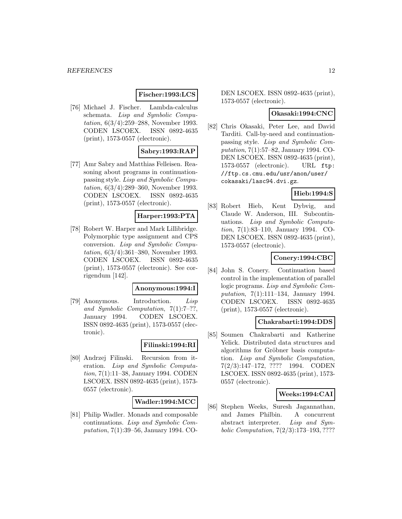# **Fischer:1993:LCS**

[76] Michael J. Fischer. Lambda-calculus schemata. Lisp and Symbolic Computation, 6(3/4):259–288, November 1993. CODEN LSCOEX. ISSN 0892-4635 (print), 1573-0557 (electronic).

## **Sabry:1993:RAP**

[77] Amr Sabry and Matthias Felleisen. Reasoning about programs in continuationpassing style. Lisp and Symbolic Computation, 6(3/4):289–360, November 1993. CODEN LSCOEX. ISSN 0892-4635 (print), 1573-0557 (electronic).

## **Harper:1993:PTA**

[78] Robert W. Harper and Mark Lillibridge. Polymorphic type assignment and CPS conversion. Lisp and Symbolic Computation, 6(3/4):361–380, November 1993. CODEN LSCOEX. ISSN 0892-4635 (print), 1573-0557 (electronic). See corrigendum [142].

#### **Anonymous:1994:I**

[79] Anonymous. Introduction. Lisp and Symbolic Computation, 7(1):7–??, January 1994. CODEN LSCOEX. ISSN 0892-4635 (print), 1573-0557 (electronic).

#### **Filinski:1994:RI**

[80] Andrzej Filinski. Recursion from iteration. Lisp and Symbolic Computation, 7(1):11–38, January 1994. CODEN LSCOEX. ISSN 0892-4635 (print), 1573- 0557 (electronic).

#### **Wadler:1994:MCC**

[81] Philip Wadler. Monads and composable continuations. Lisp and Symbolic Computation, 7(1):39–56, January 1994. CO- DEN LSCOEX. ISSN 0892-4635 (print), 1573-0557 (electronic).

#### **Okasaki:1994:CNC**

[82] Chris Okasaki, Peter Lee, and David Tarditi. Call-by-need and continuationpassing style. Lisp and Symbolic Computation, 7(1):57–82, January 1994. CO-DEN LSCOEX. ISSN 0892-4635 (print), 1573-0557 (electronic). URL ftp: //ftp.cs.cmu.edu/usr/anon/user/ cokasaki/lasc94.dvi.gz.

## **Hieb:1994:S**

[83] Robert Hieb, Kent Dybvig, and Claude W. Anderson, III. Subcontinuations. Lisp and Symbolic Computation, 7(1):83–110, January 1994. CO-DEN LSCOEX. ISSN 0892-4635 (print), 1573-0557 (electronic).

## **Conery:1994:CBC**

[84] John S. Conery. Continuation based control in the implementation of parallel logic programs. Lisp and Symbolic Computation, 7(1):111–134, January 1994. CODEN LSCOEX. ISSN 0892-4635 (print), 1573-0557 (electronic).

#### **Chakrabarti:1994:DDS**

[85] Soumen Chakrabarti and Katherine Yelick. Distributed data structures and algorithms for Gröbner basis computation. Lisp and Symbolic Computation, 7(2/3):147–172, ???? 1994. CODEN LSCOEX. ISSN 0892-4635 (print), 1573- 0557 (electronic).

#### **Weeks:1994:CAI**

[86] Stephen Weeks, Suresh Jagannathan, and James Philbin. A concurrent abstract interpreter. Lisp and Symbolic Computation, 7(2/3):173–193, ????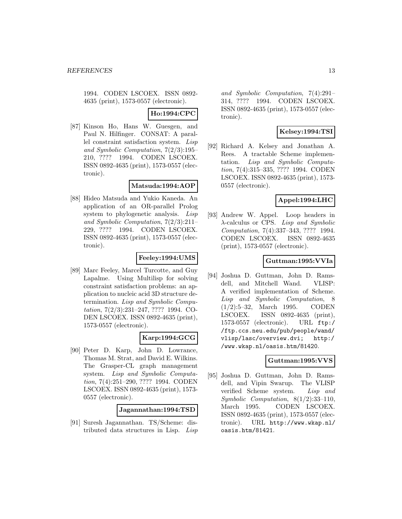1994. CODEN LSCOEX. ISSN 0892- 4635 (print), 1573-0557 (electronic).

**Ho:1994:CPC**

[87] Kinson Ho, Hans W. Guesgen, and Paul N. Hilfinger. CONSAT: A parallel constraint satisfaction system. Lisp and Symbolic Computation, 7(2/3):195– 210, ???? 1994. CODEN LSCOEX. ISSN 0892-4635 (print), 1573-0557 (electronic).

## **Matsuda:1994:AOP**

[88] Hideo Matsuda and Yukio Kaneda. An application of an OR-parallel Prolog system to phylogenetic analysis. Lisp and Symbolic Computation, 7(2/3):211– 229, ???? 1994. CODEN LSCOEX. ISSN 0892-4635 (print), 1573-0557 (electronic).

#### **Feeley:1994:UMS**

[89] Marc Feeley, Marcel Turcotte, and Guy Lapalme. Using Multilisp for solving constraint satisfaction problems: an application to nucleic acid 3D structure determination. Lisp and Symbolic Computation, 7(2/3):231–247, ???? 1994. CO-DEN LSCOEX. ISSN 0892-4635 (print), 1573-0557 (electronic).

#### **Karp:1994:GCG**

[90] Peter D. Karp, John D. Lowrance, Thomas M. Strat, and David E. Wilkins. The Grasper-CL graph management system. Lisp and Symbolic Computation, 7(4):251–290, ???? 1994. CODEN LSCOEX. ISSN 0892-4635 (print), 1573- 0557 (electronic).

#### **Jagannathan:1994:TSD**

[91] Suresh Jagannathan. TS/Scheme: distributed data structures in Lisp. Lisp and Symbolic Computation, 7(4):291– 314, ???? 1994. CODEN LSCOEX. ISSN 0892-4635 (print), 1573-0557 (electronic).

# **Kelsey:1994:TSI**

[92] Richard A. Kelsey and Jonathan A. Rees. A tractable Scheme implementation. Lisp and Symbolic Computation, 7(4):315–335, ???? 1994. CODEN LSCOEX. ISSN 0892-4635 (print), 1573- 0557 (electronic).

## **Appel:1994:LHC**

[93] Andrew W. Appel. Loop headers in  $\lambda$ -calculus or CPS. Lisp and Symbolic Computation, 7(4):337–343, ???? 1994. CODEN LSCOEX. ISSN 0892-4635 (print), 1573-0557 (electronic).

# **Guttman:1995:VVIa**

[94] Joshua D. Guttman, John D. Ramsdell, and Mitchell Wand. VLISP: A verified implementation of Scheme. Lisp and Symbolic Computation, 8 (1/2):5–32, March 1995. CODEN LSCOEX. ISSN 0892-4635 (print), 1573-0557 (electronic). URL ftp:/ /ftp.ccs.neu.edu/pub/people/wand/ vlisp/lasc/overview.dvi; http:/ /www.wkap.nl/oasis.htm/81420.

# **Guttman:1995:VVS**

[95] Joshua D. Guttman, John D. Ramsdell, and Vipin Swarup. The VLISP verified Scheme system. Lisp and Symbolic Computation, 8(1/2):33–110, March 1995. CODEN LSCOEX. ISSN 0892-4635 (print), 1573-0557 (electronic). URL http://www.wkap.nl/ oasis.htm/81421.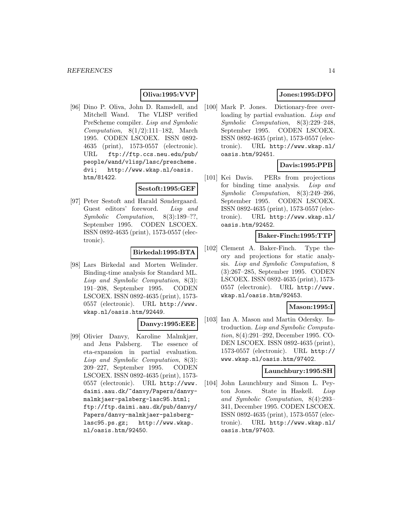## **Oliva:1995:VVP**

[96] Dino P. Oliva, John D. Ramsdell, and Mitchell Wand. The VLISP verified PreScheme compiler. Lisp and Symbolic Computation,  $8(1/2):111-182$ , March 1995. CODEN LSCOEX. ISSN 0892- 4635 (print), 1573-0557 (electronic). URL ftp://ftp.ccs.neu.edu/pub/ people/wand/vlisp/lasc/prescheme. dvi; http://www.wkap.nl/oasis. htm/81422.

#### **Sestoft:1995:GEF**

[97] Peter Sestoft and Harald Søndergaard. Guest editors' foreword. Lisp and Symbolic Computation, 8(3):189–??, September 1995. CODEN LSCOEX. ISSN 0892-4635 (print), 1573-0557 (electronic).

#### **Birkedal:1995:BTA**

[98] Lars Birkedal and Morten Welinder. Binding-time analysis for Standard ML. Lisp and Symbolic Computation, 8(3): 191–208, September 1995. CODEN LSCOEX. ISSN 0892-4635 (print), 1573- 0557 (electronic). URL http://www. wkap.nl/oasis.htm/92449.

# **Danvy:1995:EEE**

[99] Olivier Danvy, Karoline Malmkjær, and Jens Palsberg. The essence of eta-expansion in partial evaluation. Lisp and Symbolic Computation, 8(3): 209–227, September 1995. CODEN LSCOEX. ISSN 0892-4635 (print), 1573- 0557 (electronic). URL http://www. daimi.aau.dk/~danvy/Papers/danvymalmkjaer-palsberg-lasc95.html; ftp://ftp.daimi.aau.dk/pub/danvy/ Papers/danvy-malmkjaer-palsberglasc95.ps.gz; http://www.wkap. nl/oasis.htm/92450.

# **Jones:1995:DFO**

[100] Mark P. Jones. Dictionary-free overloading by partial evaluation. Lisp and Symbolic Computation, 8(3):229–248, September 1995. CODEN LSCOEX. ISSN 0892-4635 (print), 1573-0557 (electronic). URL http://www.wkap.nl/ oasis.htm/92451.

## **Davis:1995:PPB**

[101] Kei Davis. PERs from projections for binding time analysis. Lisp and Symbolic Computation, 8(3):249–266, September 1995. CODEN LSCOEX. ISSN 0892-4635 (print), 1573-0557 (electronic). URL http://www.wkap.nl/ oasis.htm/92452.

#### **Baker-Finch:1995:TTP**

[102] Clement A. Baker-Finch. Type theory and projections for static analysis. Lisp and Symbolic Computation, 8 (3):267–285, September 1995. CODEN LSCOEX. ISSN 0892-4635 (print), 1573- 0557 (electronic). URL http://www. wkap.nl/oasis.htm/92453.

#### **Mason:1995:I**

[103] Ian A. Mason and Martin Odersky. Introduction. Lisp and Symbolic Computation, 8(4):291–292, December 1995. CO-DEN LSCOEX. ISSN 0892-4635 (print), 1573-0557 (electronic). URL http:// www.wkap.nl/oasis.htm/97402.

#### **Launchbury:1995:SH**

[104] John Launchbury and Simon L. Peyton Jones. State in Haskell. Lisp and Symbolic Computation, 8(4):293– 341, December 1995. CODEN LSCOEX. ISSN 0892-4635 (print), 1573-0557 (electronic). URL http://www.wkap.nl/ oasis.htm/97403.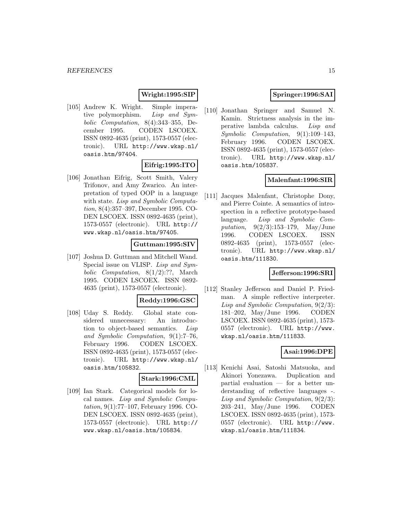## **Wright:1995:SIP**

[105] Andrew K. Wright. Simple imperative polymorphism. Lisp and Symbolic Computation, 8(4):343–355, December 1995. CODEN LSCOEX. ISSN 0892-4635 (print), 1573-0557 (electronic). URL http://www.wkap.nl/ oasis.htm/97404.

## **Eifrig:1995:ITO**

[106] Jonathan Eifrig, Scott Smith, Valery Trifonov, and Amy Zwarico. An interpretation of typed OOP in a language with state. Lisp and Symbolic Computation, 8(4):357–397, December 1995. CO-DEN LSCOEX. ISSN 0892-4635 (print), 1573-0557 (electronic). URL http:// www.wkap.nl/oasis.htm/97405.

## **Guttman:1995:SIV**

[107] Joshua D. Guttman and Mitchell Wand. Special issue on VLISP. Lisp and Symbolic Computation, 8(1/2):??, March 1995. CODEN LSCOEX. ISSN 0892- 4635 (print), 1573-0557 (electronic).

#### **Reddy:1996:GSC**

[108] Uday S. Reddy. Global state considered unnecessary: An introduction to object-based semantics. Lisp and Symbolic Computation, 9(1):7–76, February 1996. CODEN LSCOEX. ISSN 0892-4635 (print), 1573-0557 (electronic). URL http://www.wkap.nl/ oasis.htm/105832.

## **Stark:1996:CML**

[109] Ian Stark. Categorical models for local names. Lisp and Symbolic Computation, 9(1):77–107, February 1996. CO-DEN LSCOEX. ISSN 0892-4635 (print), 1573-0557 (electronic). URL http:// www.wkap.nl/oasis.htm/105834.

## **Springer:1996:SAI**

[110] Jonathan Springer and Samuel N. Kamin. Strictness analysis in the imperative lambda calculus. Lisp and Symbolic Computation, 9(1):109–143, February 1996. CODEN LSCOEX. ISSN 0892-4635 (print), 1573-0557 (electronic). URL http://www.wkap.nl/ oasis.htm/105837.

#### **Malenfant:1996:SIR**

[111] Jacques Malenfant, Christophe Dony, and Pierre Cointe. A semantics of introspection in a reflective prototype-based language. Lisp and Symbolic Computation, 9(2/3):153–179, May/June 1996. CODEN LSCOEX. ISSN 0892-4635 (print), 1573-0557 (electronic). URL http://www.wkap.nl/ oasis.htm/111830.

#### **Jefferson:1996:SRI**

[112] Stanley Jefferson and Daniel P. Friedman. A simple reflective interpreter. Lisp and Symbolic Computation, 9(2/3): 181–202, May/June 1996. CODEN LSCOEX. ISSN 0892-4635 (print), 1573- 0557 (electronic). URL http://www. wkap.nl/oasis.htm/111833.

#### **Asai:1996:DPE**

[113] Kenichi Asai, Satoshi Matsuoka, and Akinori Yonezawa. Duplication and partial evaluation — for a better understanding of reflective languages -. Lisp and Symbolic Computation, 9(2/3): 203–241, May/June 1996. CODEN LSCOEX. ISSN 0892-4635 (print), 1573- 0557 (electronic). URL http://www. wkap.nl/oasis.htm/111834.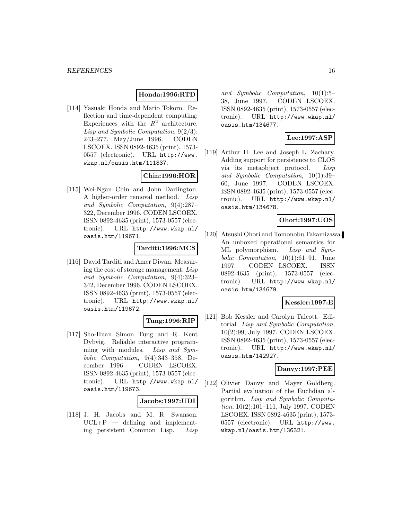# **Honda:1996:RTD**

[114] Yasuaki Honda and Mario Tokoro. Reflection and time-dependent computing: Experiences with the  $R^2$  architecture. Lisp and Symbolic Computation, 9(2/3): 243–277, May/June 1996. CODEN LSCOEX. ISSN 0892-4635 (print), 1573- 0557 (electronic). URL http://www. wkap.nl/oasis.htm/111837.

## **Chin:1996:HOR**

[115] Wei-Ngan Chin and John Darlington. A higher-order removal method. Lisp and Symbolic Computation, 9(4):287– 322, December 1996. CODEN LSCOEX. ISSN 0892-4635 (print), 1573-0557 (electronic). URL http://www.wkap.nl/ oasis.htm/119671.

## **Tarditi:1996:MCS**

[116] David Tarditi and Amer Diwan. Measuring the cost of storage management. Lisp and Symbolic Computation, 9(4):323– 342, December 1996. CODEN LSCOEX. ISSN 0892-4635 (print), 1573-0557 (electronic). URL http://www.wkap.nl/ oasis.htm/119672.

#### **Tung:1996:RIP**

[117] Sho-Huan Simon Tung and R. Kent Dybvig. Reliable interactive programming with modules. Lisp and Symbolic Computation, 9(4):343–358, December 1996. CODEN LSCOEX. ISSN 0892-4635 (print), 1573-0557 (electronic). URL http://www.wkap.nl/ oasis.htm/119673.

#### **Jacobs:1997:UDI**

[118] J. H. Jacobs and M. R. Swanson.  $UCL+P$  — defining and implementing persistent Common Lisp. Lisp

and Symbolic Computation, 10(1):5– 38, June 1997. CODEN LSCOEX. ISSN 0892-4635 (print), 1573-0557 (electronic). URL http://www.wkap.nl/ oasis.htm/134677.

## **Lee:1997:ASP**

[119] Arthur H. Lee and Joseph L. Zachary. Adding support for persistence to CLOS via its metaobject protocol. Lisp and Symbolic Computation, 10(1):39– 60, June 1997. CODEN LSCOEX. ISSN 0892-4635 (print), 1573-0557 (electronic). URL http://www.wkap.nl/ oasis.htm/134678.

## **Ohori:1997:UOS**

[120] Atsushi Ohori and Tomonobu Takamizawa. An unboxed operational semantics for ML polymorphism. Lisp and Symbolic Computation, 10(1):61–91, June 1997. CODEN LSCOEX. ISSN 0892-4635 (print), 1573-0557 (electronic). URL http://www.wkap.nl/ oasis.htm/134679.

#### **Kessler:1997:E**

[121] Bob Kessler and Carolyn Talcott. Editorial. Lisp and Symbolic Computation, 10(2):99, July 1997. CODEN LSCOEX. ISSN 0892-4635 (print), 1573-0557 (electronic). URL http://www.wkap.nl/ oasis.htm/142927.

#### **Danvy:1997:PEE**

[122] Olivier Danvy and Mayer Goldberg. Partial evaluation of the Euclidian algorithm. Lisp and Symbolic Computation, 10(2):101–111, July 1997. CODEN LSCOEX. ISSN 0892-4635 (print), 1573- 0557 (electronic). URL http://www. wkap.nl/oasis.htm/136321.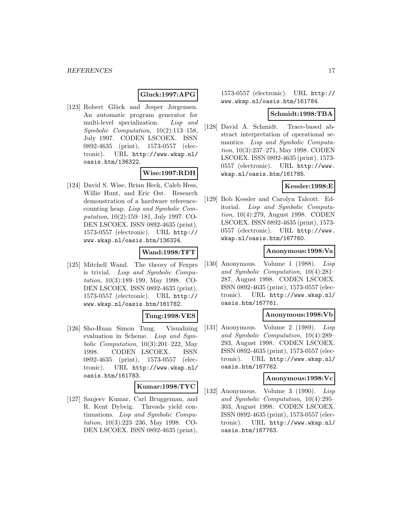## **Gluck:1997:APG**

[123] Robert Glück and Jesper Jørgensen. An automatic program generator for multi-level specialization. Lisp and Symbolic Computation, 10(2):113–158, July 1997. CODEN LSCOEX. ISSN 0892-4635 (print), 1573-0557 (electronic). URL http://www.wkap.nl/ oasis.htm/136322.

#### **Wise:1997:RDH**

[124] David S. Wise, Brian Heck, Caleb Hess, Willie Hunt, and Eric Ost. Research demonstration of a hardware referencecounting heap. Lisp and Symbolic Computation, 10(2):159–181, July 1997. CO-DEN LSCOEX. ISSN 0892-4635 (print), 1573-0557 (electronic). URL http:// www.wkap.nl/oasis.htm/136324.

## **Wand:1998:TFT**

[125] Mitchell Wand. The theory of Fexprs is trivial. Lisp and Symbolic Computation, 10(3):189–199, May 1998. CO-DEN LSCOEX. ISSN 0892-4635 (print), 1573-0557 (electronic). URL http:// www.wkap.nl/oasis.htm/161782.

#### **Tung:1998:VES**

[126] Sho-Huan Simon Tung. Visualizing evaluation in Scheme. Lisp and Symbolic Computation, 10(3):201–222, May 1998. CODEN LSCOEX. ISSN 0892-4635 (print), 1573-0557 (electronic). URL http://www.wkap.nl/ oasis.htm/161783.

#### **Kumar:1998:TYC**

[127] Sanjeev Kumar, Carl Bruggeman, and R. Kent Dybvig. Threads yield continuations. Lisp and Symbolic Computation, 10(3):223–236, May 1998. CO-DEN LSCOEX. ISSN 0892-4635 (print), 1573-0557 (electronic). URL http:// www.wkap.nl/oasis.htm/161784.

#### **Schmidt:1998:TBA**

[128] David A. Schmidt. Trace-based abstract interpretation of operational semantics. Lisp and Symbolic Computation, 10(3):237–271, May 1998. CODEN LSCOEX. ISSN 0892-4635 (print), 1573- 0557 (electronic). URL http://www. wkap.nl/oasis.htm/161785.

## **Kessler:1998:E**

[129] Bob Kessler and Carolyn Talcott. Editorial. Lisp and Symbolic Computation, 10(4):279, August 1998. CODEN LSCOEX. ISSN 0892-4635 (print), 1573- 0557 (electronic). URL http://www. wkap.nl/oasis.htm/167760.

## **Anonymous:1998:Va**

[130] Anonymous. Volume 1 (1988). Lisp and Symbolic Computation, 10(4):281– 287, August 1998. CODEN LSCOEX. ISSN 0892-4635 (print), 1573-0557 (electronic). URL http://www.wkap.nl/ oasis.htm/167761.

#### **Anonymous:1998:Vb**

[131] Anonymous. Volume 2 (1989). Lisp and Symbolic Computation, 10(4):289– 293, August 1998. CODEN LSCOEX. ISSN 0892-4635 (print), 1573-0557 (electronic). URL http://www.wkap.nl/ oasis.htm/167762.

#### **Anonymous:1998:Vc**

[132] Anonymous. Volume 3 (1990). Lisp and Symbolic Computation, 10(4):295– 303, August 1998. CODEN LSCOEX. ISSN 0892-4635 (print), 1573-0557 (electronic). URL http://www.wkap.nl/ oasis.htm/167763.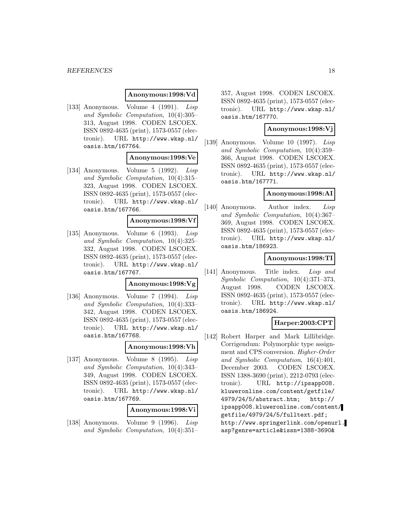#### *REFERENCES* 18

#### **Anonymous:1998:Vd**

[133] Anonymous. Volume 4 (1991). Lisp and Symbolic Computation, 10(4):305– 313, August 1998. CODEN LSCOEX. ISSN 0892-4635 (print), 1573-0557 (electronic). URL http://www.wkap.nl/ oasis.htm/167764.

#### **Anonymous:1998:Ve**

[134] Anonymous. Volume 5 (1992). Lisp and Symbolic Computation, 10(4):315– 323, August 1998. CODEN LSCOEX. ISSN 0892-4635 (print), 1573-0557 (electronic). URL http://www.wkap.nl/ oasis.htm/167766.

#### **Anonymous:1998:Vf**

[135] Anonymous. Volume 6 (1993). Lisp and Symbolic Computation, 10(4):325– 332, August 1998. CODEN LSCOEX. ISSN 0892-4635 (print), 1573-0557 (electronic). URL http://www.wkap.nl/ oasis.htm/167767.

#### **Anonymous:1998:Vg**

[136] Anonymous. Volume 7 (1994). Lisp and Symbolic Computation, 10(4):333– 342, August 1998. CODEN LSCOEX. ISSN 0892-4635 (print), 1573-0557 (electronic). URL http://www.wkap.nl/ oasis.htm/167768.

#### **Anonymous:1998:Vh**

[137] Anonymous. Volume 8 (1995). Lisp and Symbolic Computation, 10(4):343– 349, August 1998. CODEN LSCOEX. ISSN 0892-4635 (print), 1573-0557 (electronic). URL http://www.wkap.nl/ oasis.htm/167769.

#### **Anonymous:1998:Vi**

[138] Anonymous. Volume 9 (1996). Lisp and Symbolic Computation, 10(4):351–

357, August 1998. CODEN LSCOEX. ISSN 0892-4635 (print), 1573-0557 (electronic). URL http://www.wkap.nl/ oasis.htm/167770.

#### **Anonymous:1998:Vj**

[139] Anonymous. Volume 10 (1997). Lisp and Symbolic Computation, 10(4):359– 366, August 1998. CODEN LSCOEX. ISSN 0892-4635 (print), 1573-0557 (electronic). URL http://www.wkap.nl/ oasis.htm/167771.

#### **Anonymous:1998:AI**

[140] Anonymous. Author index. Lisp and Symbolic Computation, 10(4):367– 369, August 1998. CODEN LSCOEX. ISSN 0892-4635 (print), 1573-0557 (electronic). URL http://www.wkap.nl/ oasis.htm/186923.

#### **Anonymous:1998:TI**

[141] Anonymous. Title index. Lisp and Symbolic Computation, 10(4):371–373, August 1998. CODEN LSCOEX. ISSN 0892-4635 (print), 1573-0557 (electronic). URL http://www.wkap.nl/ oasis.htm/186924.

## **Harper:2003:CPT**

[142] Robert Harper and Mark Lillibridge. Corrigendum: Polymorphic type assignment and CPS conversion. Higher-Order and Symbolic Computation, 16(4):401, December 2003. CODEN LSCOEX. ISSN 1388-3690 (print), 2212-0793 (electronic). URL http://ipsapp008. kluweronline.com/content/getfile/ 4979/24/5/abstract.htm; http:// ipsapp008.kluweronline.com/content/ getfile/4979/24/5/fulltext.pdf; http://www.springerlink.com/openurl. asp?genre=article&issn=1388-3690&